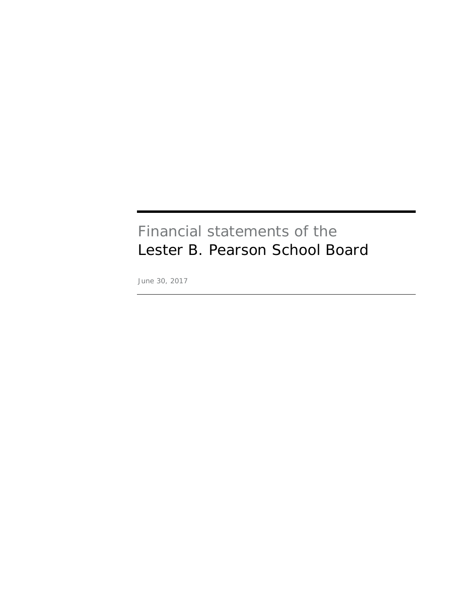# Financial statements of the Lester B. Pearson School Board

June 30, 2017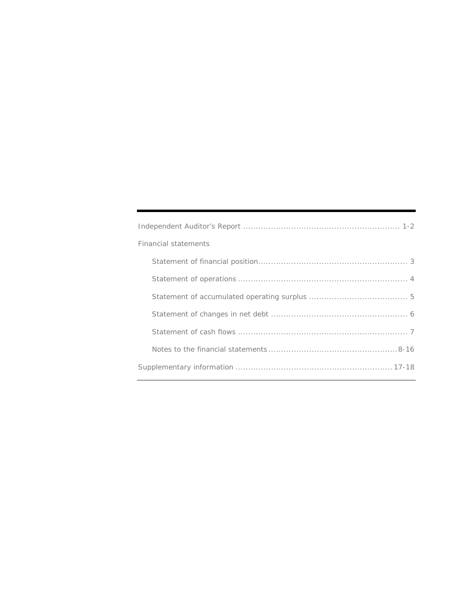| Financial statements |
|----------------------|
|                      |
|                      |
|                      |
|                      |
|                      |
|                      |
|                      |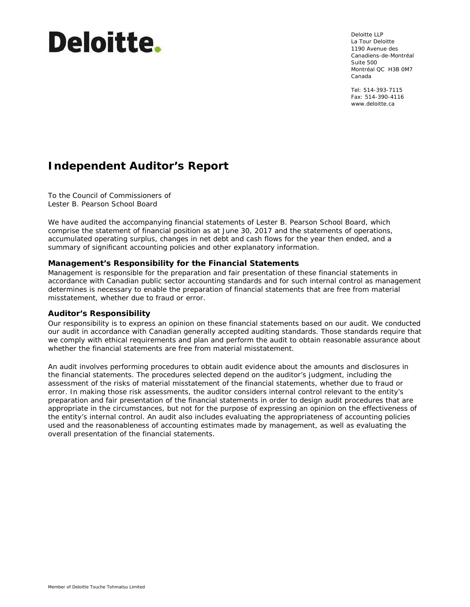# **Deloitte.**

Deloitte LLP La Tour Deloitte 1190 Avenue des Canadiens-de-Montréal Suite 500 Montréal QC H3B 0M7 Canada

Tel: 514-393-7115 Fax: 514-390-4116 www.deloitte.ca

# **Independent Auditor's Report**

To the Council of Commissioners of Lester B. Pearson School Board

We have audited the accompanying financial statements of Lester B. Pearson School Board, which comprise the statement of financial position as at June 30, 2017 and the statements of operations, accumulated operating surplus, changes in net debt and cash flows for the year then ended, and a summary of significant accounting policies and other explanatory information.

#### **Management's Responsibility for the Financial Statements**

Management is responsible for the preparation and fair presentation of these financial statements in accordance with Canadian public sector accounting standards and for such internal control as management determines is necessary to enable the preparation of financial statements that are free from material misstatement, whether due to fraud or error.

#### **Auditor's Responsibility**

Our responsibility is to express an opinion on these financial statements based on our audit. We conducted our audit in accordance with Canadian generally accepted auditing standards. Those standards require that we comply with ethical requirements and plan and perform the audit to obtain reasonable assurance about whether the financial statements are free from material misstatement.

An audit involves performing procedures to obtain audit evidence about the amounts and disclosures in the financial statements. The procedures selected depend on the auditor's judgment, including the assessment of the risks of material misstatement of the financial statements, whether due to fraud or error. In making those risk assessments, the auditor considers internal control relevant to the entity's preparation and fair presentation of the financial statements in order to design audit procedures that are appropriate in the circumstances, but not for the purpose of expressing an opinion on the effectiveness of the entity's internal control. An audit also includes evaluating the appropriateness of accounting policies used and the reasonableness of accounting estimates made by management, as well as evaluating the overall presentation of the financial statements.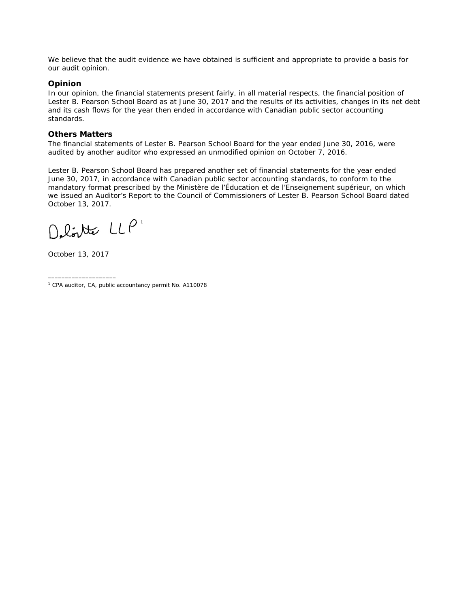We believe that the audit evidence we have obtained is sufficient and appropriate to provide a basis for our audit opinion.

#### **Opinion**

In our opinion, the financial statements present fairly, in all material respects, the financial position of Lester B. Pearson School Board as at June 30, 2017 and the results of its activities, changes in its net debt and its cash flows for the year then ended in accordance with Canadian public sector accounting standards.

#### **Others Matters**

The financial statements of Lester B. Pearson School Board for the year ended June 30, 2016, were audited by another auditor who expressed an unmodified opinion on October 7, 2016.

Lester B. Pearson School Board has prepared another set of financial statements for the year ended June 30, 2017, in accordance with Canadian public sector accounting standards, to conform to the mandatory format prescribed by the Ministère de l'Éducation et de l'Enseignement supérieur, on which we issued an Auditor's Report to the Council of Commissioners of Lester B. Pearson School Board dated October 13, 2017.

 $D$ olonte LLP

October 13, 2017

 $\_$ 

<sup>1</sup> CPA auditor, CA, public accountancy permit No. A110078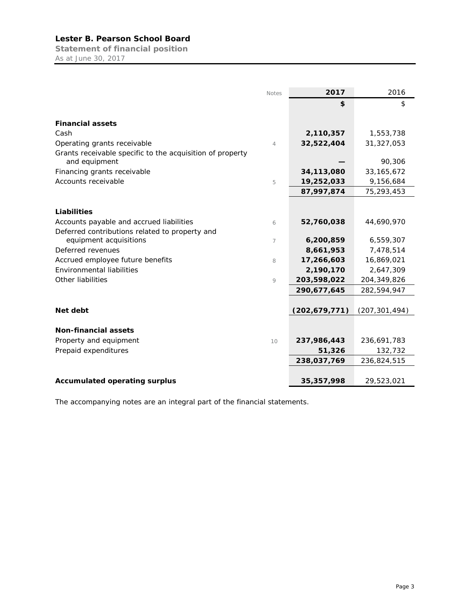**Statement of financial position**  As at June 30, 2017

|                                                                            | <b>Notes</b>   | 2017            | 2016            |
|----------------------------------------------------------------------------|----------------|-----------------|-----------------|
|                                                                            |                | \$              | \$              |
|                                                                            |                |                 |                 |
| <b>Financial assets</b>                                                    |                |                 |                 |
| Cash                                                                       |                | 2,110,357       | 1,553,738       |
| Operating grants receivable                                                | $\overline{4}$ | 32,522,404      | 31,327,053      |
| Grants receivable specific to the acquisition of property<br>and equipment |                |                 | 90,306          |
| Financing grants receivable                                                |                | 34,113,080      | 33, 165, 672    |
| Accounts receivable                                                        | 5              | 19,252,033      | 9,156,684       |
|                                                                            |                | 87,997,874      | 75,293,453      |
|                                                                            |                |                 |                 |
| <b>Liabilities</b>                                                         |                |                 |                 |
| Accounts payable and accrued liabilities                                   | 6              | 52,760,038      | 44,690,970      |
| Deferred contributions related to property and                             |                |                 |                 |
| equipment acquisitions                                                     | $\overline{7}$ | 6,200,859       | 6,559,307       |
| Deferred revenues                                                          |                | 8,661,953       | 7,478,514       |
| Accrued employee future benefits                                           | 8              | 17,266,603      | 16,869,021      |
| <b>Environmental liabilities</b>                                           |                | 2,190,170       | 2,647,309       |
| Other liabilities                                                          | 9              | 203,598,022     | 204,349,826     |
|                                                                            |                | 290,677,645     | 282,594,947     |
|                                                                            |                |                 |                 |
| Net debt                                                                   |                | (202, 679, 771) | (207, 301, 494) |
|                                                                            |                |                 |                 |
| <b>Non-financial assets</b>                                                |                |                 |                 |
| Property and equipment                                                     | 10             | 237,986,443     | 236,691,783     |
| Prepaid expenditures                                                       |                | 51,326          | 132,732         |
|                                                                            |                | 238,037,769     | 236,824,515     |
|                                                                            |                |                 |                 |
| <b>Accumulated operating surplus</b>                                       |                | 35,357,998      | 29,523,021      |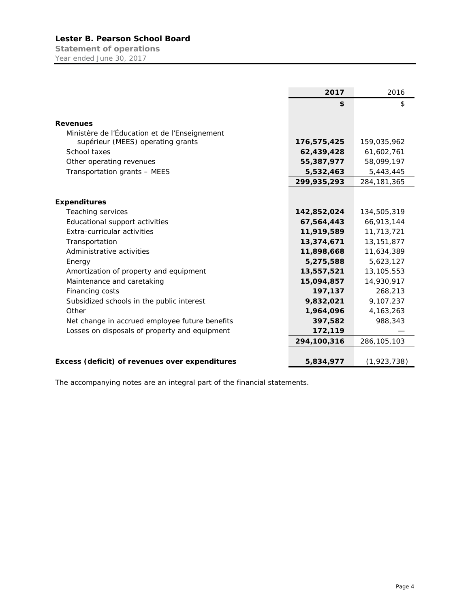**Statement of operations**  Year ended June 30, 2017

|                                                | 2017        | 2016          |
|------------------------------------------------|-------------|---------------|
|                                                | \$          | \$            |
|                                                |             |               |
| <b>Revenues</b>                                |             |               |
| Ministère de l'Éducation et de l'Enseignement  |             |               |
| supérieur (MEES) operating grants              | 176,575,425 | 159,035,962   |
| School taxes                                   | 62,439,428  | 61,602,761    |
| Other operating revenues                       | 55,387,977  | 58,099,197    |
| Transportation grants - MEES                   | 5,532,463   | 5,443,445     |
|                                                | 299,935,293 | 284, 181, 365 |
|                                                |             |               |
| <b>Expenditures</b>                            |             |               |
| Teaching services                              | 142,852,024 | 134,505,319   |
| Educational support activities                 | 67,564,443  | 66,913,144    |
| Extra-curricular activities                    | 11,919,589  | 11,713,721    |
| Transportation                                 | 13,374,671  | 13, 151, 877  |
| Administrative activities                      | 11,898,668  | 11,634,389    |
| Energy                                         | 5,275,588   | 5,623,127     |
| Amortization of property and equipment         | 13,557,521  | 13,105,553    |
| Maintenance and caretaking                     | 15,094,857  | 14,930,917    |
| Financing costs                                | 197,137     | 268,213       |
| Subsidized schools in the public interest      | 9,832,021   | 9,107,237     |
| Other                                          | 1,964,096   | 4, 163, 263   |
| Net change in accrued employee future benefits | 397,582     | 988,343       |
| Losses on disposals of property and equipment  | 172,119     |               |
|                                                | 294,100,316 | 286, 105, 103 |
|                                                |             |               |
| Excess (deficit) of revenues over expenditures | 5,834,977   | (1,923,738)   |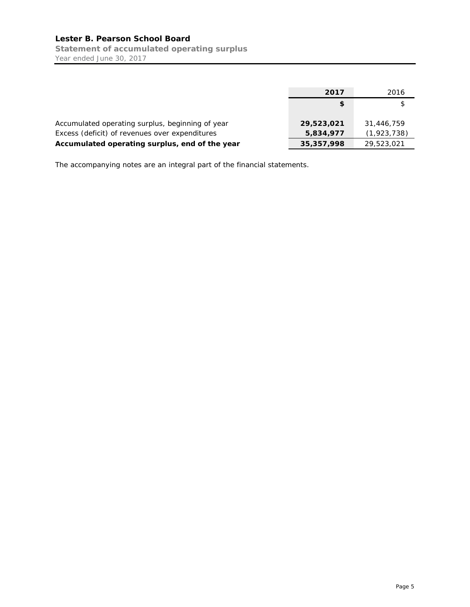**Statement of accumulated operating surplus**  Year ended June 30, 2017

|                                                  | 2017       | 2016        |
|--------------------------------------------------|------------|-------------|
|                                                  | \$         |             |
|                                                  |            |             |
| Accumulated operating surplus, beginning of year | 29,523,021 | 31,446,759  |
| Excess (deficit) of revenues over expenditures   | 5,834,977  | (1,923,738) |
| Accumulated operating surplus, end of the year   | 35,357,998 | 29,523,021  |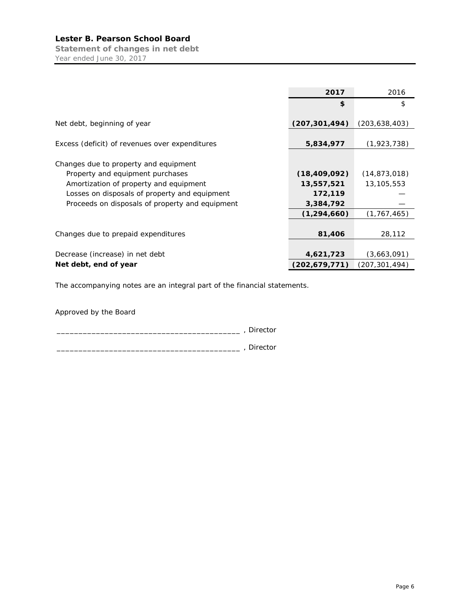**Statement of changes in net debt**  Year ended June 30, 2017

|                                                 | 2017            | 2016            |
|-------------------------------------------------|-----------------|-----------------|
|                                                 | \$              | \$              |
|                                                 |                 |                 |
| Net debt, beginning of year                     | (207, 301, 494) | (203, 638, 403) |
|                                                 |                 |                 |
| Excess (deficit) of revenues over expenditures  | 5,834,977       | (1,923,738)     |
|                                                 |                 |                 |
| Changes due to property and equipment           |                 |                 |
| Property and equipment purchases                | (18, 409, 092)  | (14, 873, 018)  |
| Amortization of property and equipment          | 13,557,521      | 13,105,553      |
| Losses on disposals of property and equipment   | 172,119         |                 |
| Proceeds on disposals of property and equipment | 3,384,792       |                 |
|                                                 | (1, 294, 660)   | (1, 767, 465)   |
|                                                 |                 |                 |
| Changes due to prepaid expenditures             | 81,406          | 28,112          |
|                                                 |                 |                 |
| Decrease (increase) in net debt                 | 4,621,723       | (3,663,091)     |
| Net debt, end of year                           | (202, 679, 771) | (207, 301, 494) |

The accompanying notes are an integral part of the financial statements.

Approved by the Board

\_\_\_\_\_\_\_\_\_\_\_\_\_\_\_\_\_\_\_\_\_\_\_\_\_\_\_\_\_\_\_\_\_\_\_\_\_\_\_\_\_\_ , Director

\_\_\_\_\_\_\_\_\_\_\_\_\_\_\_\_\_\_\_\_\_\_\_\_\_\_\_\_\_\_\_\_\_\_\_\_\_\_\_\_\_\_ , Director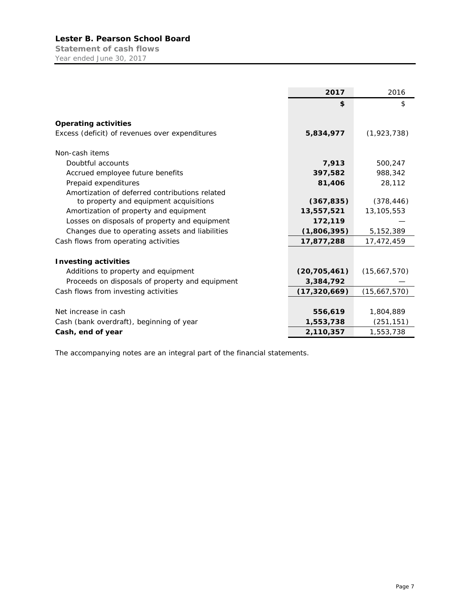**Statement of cash flows**  Year ended June 30, 2017

|                                                 | 2017           | 2016         |
|-------------------------------------------------|----------------|--------------|
|                                                 | \$             | \$           |
|                                                 |                |              |
| <b>Operating activities</b>                     |                |              |
| Excess (deficit) of revenues over expenditures  | 5,834,977      | (1,923,738)  |
| Non-cash items                                  |                |              |
| Doubtful accounts                               | 7,913          | 500,247      |
| Accrued employee future benefits                | 397,582        | 988,342      |
| Prepaid expenditures                            | 81,406         | 28,112       |
| Amortization of deferred contributions related  |                |              |
| to property and equipment acquisitions          | (367, 835)     | (378, 446)   |
| Amortization of property and equipment          | 13,557,521     | 13,105,553   |
| Losses on disposals of property and equipment   | 172,119        |              |
| Changes due to operating assets and liabilities | (1,806,395)    | 5,152,389    |
| Cash flows from operating activities            | 17,877,288     | 17,472,459   |
|                                                 |                |              |
| <b>Investing activities</b>                     |                |              |
| Additions to property and equipment             | (20, 705, 461) | (15,667,570) |
| Proceeds on disposals of property and equipment | 3,384,792      |              |
| Cash flows from investing activities            | (17, 320, 669) | (15,667,570) |
|                                                 |                |              |
| Net increase in cash                            | 556,619        | 1,804,889    |
| Cash (bank overdraft), beginning of year        | 1,553,738      | (251, 151)   |
| Cash, end of year                               | 2,110,357      | 1,553,738    |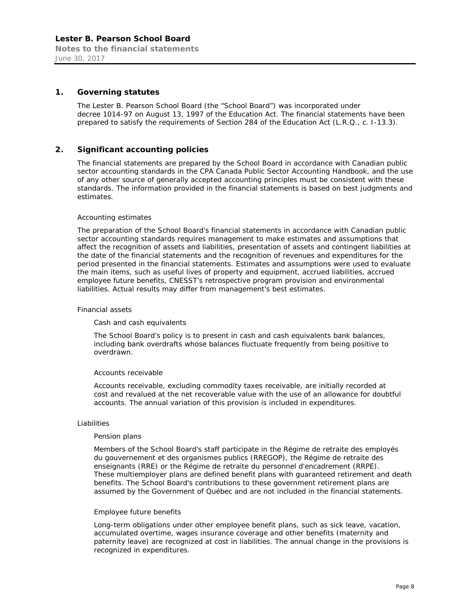#### **1. Governing statutes**

The Lester B. Pearson School Board (the "School Board") was incorporated under decree 1014-97 on August 13, 1997 of the *Education Act.* The financial statements have been prepared to satisfy the requirements of Section 284 of the *Education Act* (L.R.Q., c. I-13.3).

#### **2. Significant accounting policies**

The financial statements are prepared by the School Board in accordance with Canadian public sector accounting standards in the *CPA Canada Public Sector Accounting Handbook*, and the use of any other source of generally accepted accounting principles must be consistent with these standards. The information provided in the financial statements is based on best judgments and estimates.

#### *Accounting estimates*

The preparation of the School Board's financial statements in accordance with Canadian public sector accounting standards requires management to make estimates and assumptions that affect the recognition of assets and liabilities, presentation of assets and contingent liabilities at the date of the financial statements and the recognition of revenues and expenditures for the period presented in the financial statements. Estimates and assumptions were used to evaluate the main items, such as useful lives of property and equipment, accrued liabilities, accrued employee future benefits, CNESST's retrospective program provision and environmental liabilities. Actual results may differ from management's best estimates.

#### *Financial assets*

#### *Cash and cash equivalents*

The School Board's policy is to present in cash and cash equivalents bank balances, including bank overdrafts whose balances fluctuate frequently from being positive to overdrawn.

#### *Accounts receivable*

Accounts receivable, excluding commodity taxes receivable, are initially recorded at cost and revalued at the net recoverable value with the use of an allowance for doubtful accounts. The annual variation of this provision is included in expenditures.

#### *Liabilities*

#### *Pension plans*

Members of the School Board's staff participate in the Régime de retraite des employés du gouvernement et des organismes publics (RREGOP), the Régime de retraite des enseignants (RRE) or the Régime de retraite du personnel d'encadrement (RRPE). These multiemployer plans are defined benefit plans with guaranteed retirement and death benefits. The School Board's contributions to these government retirement plans are assumed by the Government of Québec and are not included in the financial statements.

#### *Employee future benefits*

Long-term obligations under other employee benefit plans, such as sick leave, vacation, accumulated overtime, wages insurance coverage and other benefits (maternity and paternity leave) are recognized at cost in liabilities. The annual change in the provisions is recognized in expenditures.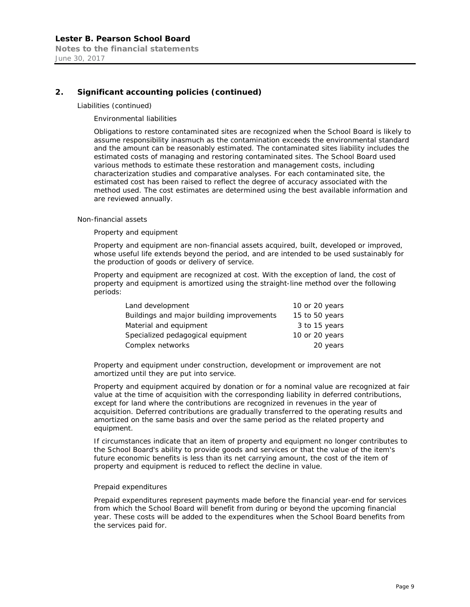**Notes to the financial statements**  June 30, 2017

# **2. Significant accounting policies (continued)**

#### *Liabilities (continued)*

#### *Environmental liabilities*

Obligations to restore contaminated sites are recognized when the School Board is likely to assume responsibility inasmuch as the contamination exceeds the environmental standard and the amount can be reasonably estimated. The contaminated sites liability includes the estimated costs of managing and restoring contaminated sites. The School Board used various methods to estimate these restoration and management costs, including characterization studies and comparative analyses. For each contaminated site, the estimated cost has been raised to reflect the degree of accuracy associated with the method used. The cost estimates are determined using the best available information and are reviewed annually.

#### *Non-financial assets*

#### *Property and equipment*

Property and equipment are non-financial assets acquired, built, developed or improved, whose useful life extends beyond the period, and are intended to be used sustainably for the production of goods or delivery of service.

Property and equipment are recognized at cost. With the exception of land, the cost of property and equipment is amortized using the straight-line method over the following periods:

| Land development                          | 10 or 20 years |
|-------------------------------------------|----------------|
| Buildings and major building improvements | 15 to 50 years |
| Material and equipment                    | 3 to 15 years  |
| Specialized pedagogical equipment         | 10 or 20 years |
| Complex networks                          | 20 years       |

Property and equipment under construction, development or improvement are not amortized until they are put into service.

Property and equipment acquired by donation or for a nominal value are recognized at fair value at the time of acquisition with the corresponding liability in deferred contributions, except for land where the contributions are recognized in revenues in the year of acquisition. Deferred contributions are gradually transferred to the operating results and amortized on the same basis and over the same period as the related property and equipment.

If circumstances indicate that an item of property and equipment no longer contributes to the School Board's ability to provide goods and services or that the value of the item's future economic benefits is less than its net carrying amount, the cost of the item of property and equipment is reduced to reflect the decline in value.

#### *Prepaid expenditures*

Prepaid expenditures represent payments made before the financial year-end for services from which the School Board will benefit from during or beyond the upcoming financial year. These costs will be added to the expenditures when the School Board benefits from the services paid for.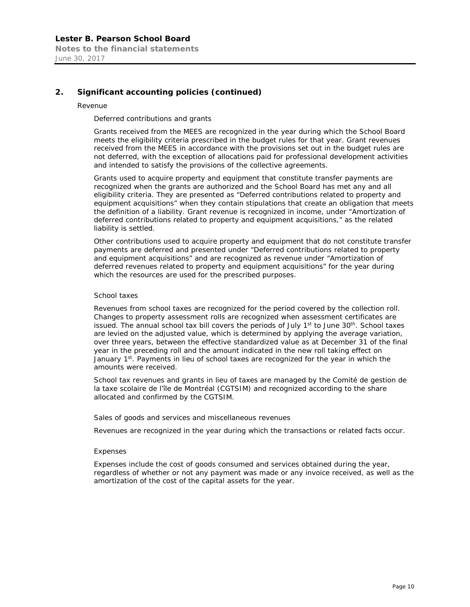**Notes to the financial statements**  June 30, 2017

# **2. Significant accounting policies (continued)**

#### *Revenue*

#### *Deferred contributions and grants*

Grants received from the MEES are recognized in the year during which the School Board meets the eligibility criteria prescribed in the budget rules for that year. Grant revenues received from the MEES in accordance with the provisions set out in the budget rules are not deferred, with the exception of allocations paid for professional development activities and intended to satisfy the provisions of the collective agreements.

Grants used to acquire property and equipment that constitute transfer payments are recognized when the grants are authorized and the School Board has met any and all eligibility criteria. They are presented as "Deferred contributions related to property and equipment acquisitions" when they contain stipulations that create an obligation that meets the definition of a liability. Grant revenue is recognized in income, under "Amortization of deferred contributions related to property and equipment acquisitions," as the related liability is settled.

Other contributions used to acquire property and equipment that do not constitute transfer payments are deferred and presented under "Deferred contributions related to property and equipment acquisitions" and are recognized as revenue under "Amortization of deferred revenues related to property and equipment acquisitions" for the year during which the resources are used for the prescribed purposes.

#### *School taxes*

Revenues from school taxes are recognized for the period covered by the collection roll. Changes to property assessment rolls are recognized when assessment certificates are issued. The annual school tax bill covers the periods of July  $1<sup>st</sup>$  to June 30<sup>th</sup>. School taxes are levied on the adjusted value, which is determined by applying the average variation, over three years, between the effective standardized value as at December 31 of the final year in the preceding roll and the amount indicated in the new roll taking effect on January  $1<sup>st</sup>$ . Payments in lieu of school taxes are recognized for the year in which the amounts were received.

School tax revenues and grants in lieu of taxes are managed by the Comité de gestion de la taxe scolaire de l'île de Montréal (CGTSIM) and recognized according to the share allocated and confirmed by the CGTSIM.

#### *Sales of goods and services and miscellaneous revenues*

Revenues are recognized in the year during which the transactions or related facts occur.

#### *Expenses*

Expenses include the cost of goods consumed and services obtained during the year, regardless of whether or not any payment was made or any invoice received, as well as the amortization of the cost of the capital assets for the year.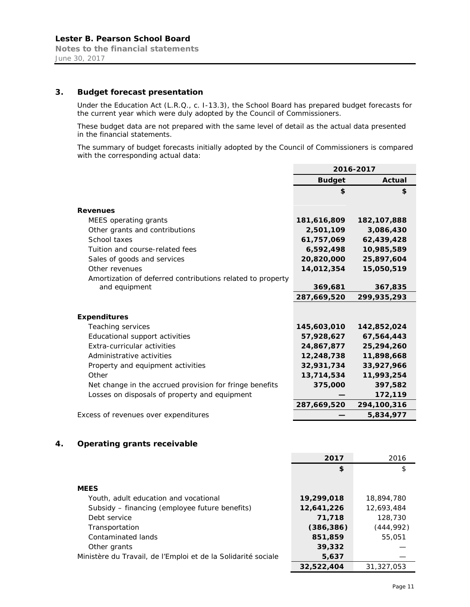#### **3. Budget forecast presentation**

Under the *Education Act* (L.R.Q., c. I-13.3), the School Board has prepared budget forecasts for the current year which were duly adopted by the Council of Commissioners.

These budget data are not prepared with the same level of detail as the actual data presented in the financial statements.

The summary of budget forecasts initially adopted by the Council of Commissioners is compared with the corresponding actual data:

|                                                            | 2016-2017     |               |
|------------------------------------------------------------|---------------|---------------|
|                                                            | <b>Budget</b> | Actual        |
|                                                            | \$            | \$            |
|                                                            |               |               |
| <b>Revenues</b>                                            |               |               |
| MEES operating grants                                      | 181,616,809   | 182, 107, 888 |
| Other grants and contributions                             | 2,501,109     | 3,086,430     |
| School taxes                                               | 61,757,069    | 62,439,428    |
| Tuition and course-related fees                            | 6,592,498     | 10,985,589    |
| Sales of goods and services                                | 20,820,000    | 25,897,604    |
| Other revenues                                             | 14,012,354    | 15,050,519    |
| Amortization of deferred contributions related to property |               |               |
| and equipment                                              | 369,681       | 367,835       |
|                                                            | 287,669,520   | 299,935,293   |
|                                                            |               |               |
| <b>Expenditures</b>                                        |               |               |
| Teaching services                                          | 145,603,010   | 142,852,024   |
| Educational support activities                             | 57,928,627    | 67,564,443    |
| Extra-curricular activities                                | 24,867,877    | 25,294,260    |
| Administrative activities                                  | 12,248,738    | 11,898,668    |
| Property and equipment activities                          | 32,931,734    | 33,927,966    |
| Other                                                      | 13,714,534    | 11,993,254    |
| Net change in the accrued provision for fringe benefits    | 375,000       | 397,582       |
| Losses on disposals of property and equipment              |               | 172,119       |
|                                                            | 287,669,520   | 294,100,316   |
| Excess of revenues over expenditures                       |               | 5,834,977     |

#### **4. Operating grants receivable**

|                                                               | 2017       | 2016       |
|---------------------------------------------------------------|------------|------------|
|                                                               | \$         | \$         |
|                                                               |            |            |
| <b>MEES</b>                                                   |            |            |
| Youth, adult education and vocational                         | 19,299,018 | 18,894,780 |
| Subsidy - financing (employee future benefits)                | 12,641,226 | 12,693,484 |
| Debt service                                                  | 71,718     | 128,730    |
| Transportation                                                | (386, 386) | (444, 992) |
| Contaminated lands                                            | 851,859    | 55,051     |
| Other grants                                                  | 39,332     |            |
| Ministère du Travail, de l'Emploi et de la Solidarité sociale | 5,637      |            |
|                                                               | 32,522,404 | 31,327,053 |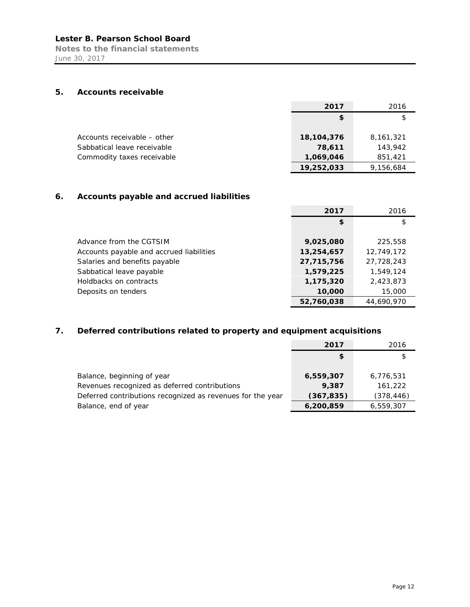**Notes to the financial statements**  June 30, 2017

#### **5. Accounts receivable**

|                             | 2017       | 2016      |
|-----------------------------|------------|-----------|
|                             | \$         | \$        |
|                             |            |           |
| Accounts receivable – other | 18,104,376 | 8,161,321 |
| Sabbatical leave receivable | 78,611     | 143,942   |
| Commodity taxes receivable  | 1,069,046  | 851,421   |
|                             | 19,252,033 | 9,156,684 |

# **6. Accounts payable and accrued liabilities**

|                                          | 2017       | 2016       |
|------------------------------------------|------------|------------|
|                                          | \$         | \$         |
|                                          |            |            |
| Advance from the CGTSIM                  | 9,025,080  | 225,558    |
| Accounts payable and accrued liabilities | 13,254,657 | 12,749,172 |
| Salaries and benefits payable            | 27,715,756 | 27,728,243 |
| Sabbatical leave payable                 | 1,579,225  | 1,549,124  |
| Holdbacks on contracts                   | 1,175,320  | 2,423,873  |
| Deposits on tenders                      | 10,000     | 15,000     |
|                                          | 52,760,038 | 44,690,970 |

# **7. Deferred contributions related to property and equipment acquisitions**

|                                                            | 2017       | 2016       |
|------------------------------------------------------------|------------|------------|
|                                                            | \$         |            |
|                                                            |            |            |
| Balance, beginning of year                                 | 6,559,307  | 6,776,531  |
| Revenues recognized as deferred contributions              | 9,387      | 161,222    |
| Deferred contributions recognized as revenues for the year | (367, 835) | (378, 446) |
| Balance, end of year                                       | 6,200,859  | 6,559,307  |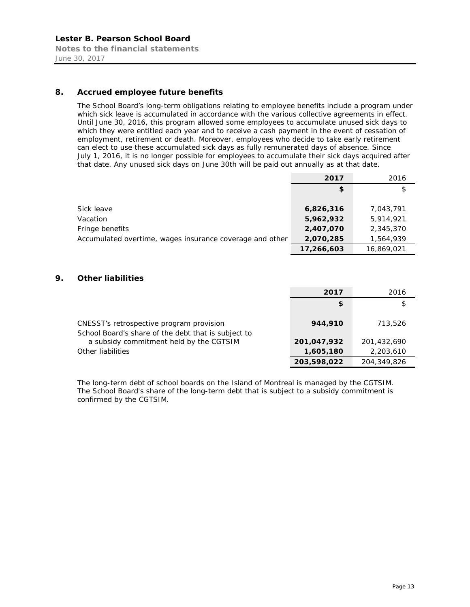**Notes to the financial statements**  June 30, 2017

# **8. Accrued employee future benefits**

The School Board's long-term obligations relating to employee benefits include a program under which sick leave is accumulated in accordance with the various collective agreements in effect. Until June 30, 2016, this program allowed some employees to accumulate unused sick days to which they were entitled each year and to receive a cash payment in the event of cessation of employment, retirement or death. Moreover, employees who decide to take early retirement can elect to use these accumulated sick days as fully remunerated days of absence. Since July 1, 2016, it is no longer possible for employees to accumulate their sick days acquired after that date. Any unused sick days on June 30th will be paid out annually as at that date.

|                                                          | 2017       | 2016       |
|----------------------------------------------------------|------------|------------|
|                                                          | \$         | \$         |
|                                                          |            |            |
| Sick leave                                               | 6,826,316  | 7,043,791  |
| Vacation                                                 | 5,962,932  | 5,914,921  |
| Fringe benefits                                          | 2,407,070  | 2,345,370  |
| Accumulated overtime, wages insurance coverage and other | 2,070,285  | 1,564,939  |
|                                                          | 17,266,603 | 16,869,021 |

# **9. Other liabilities**

|                                                                                                | 2017        | 2016        |
|------------------------------------------------------------------------------------------------|-------------|-------------|
|                                                                                                | \$          | \$          |
| CNESST's retrospective program provision                                                       | 944,910     | 713,526     |
| School Board's share of the debt that is subject to<br>a subsidy commitment held by the CGTSIM | 201,047,932 | 201.432.690 |
| Other liabilities                                                                              | 1,605,180   | 2,203,610   |
|                                                                                                | 203,598,022 | 204,349,826 |

The long-term debt of school boards on the Island of Montreal is managed by the CGTSIM. The School Board's share of the long-term debt that is subject to a subsidy commitment is confirmed by the CGTSIM.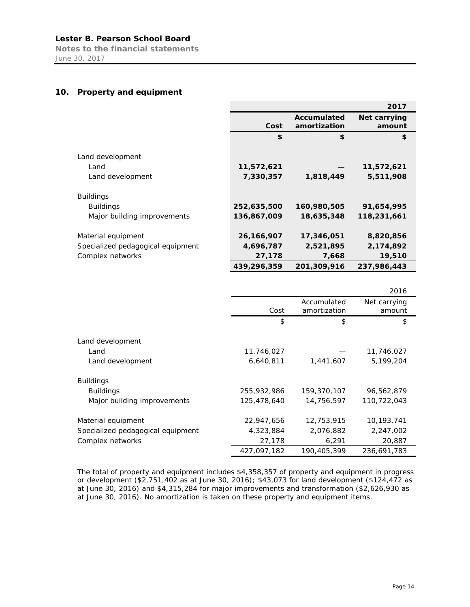**Notes to the financial statements**  June 30, 2017

# **10. Property and equipment**

|                                   |              |                    | 2017         |
|-----------------------------------|--------------|--------------------|--------------|
|                                   |              | <b>Accumulated</b> | Net carrying |
|                                   | Cost         | amortization       | amount       |
|                                   | \$           | \$                 | \$           |
|                                   |              |                    |              |
| Land development                  |              |                    |              |
| Land                              | 11,572,621   |                    | 11,572,621   |
| Land development                  | 7,330,357    | 1,818,449          | 5,511,908    |
|                                   |              |                    |              |
| <b>Buildings</b>                  |              |                    |              |
| <b>Buildings</b>                  | 252,635,500  | 160,980,505        | 91,654,995   |
| Major building improvements       | 136,867,009  | 18,635,348         | 118,231,661  |
|                                   |              |                    |              |
| Material equipment                | 26, 166, 907 | 17,346,051         | 8,820,856    |
| Specialized pedagogical equipment | 4,696,787    | 2,521,895          | 2,174,892    |
| Complex networks                  | 27,178       | 7,668              | 19,510       |
|                                   | 439,296,359  | 201,309,916        | 237,986,443  |

|                                   |             |                             | 2016                   |
|-----------------------------------|-------------|-----------------------------|------------------------|
|                                   | Cost        | Accumulated<br>amortization | Net carrying<br>amount |
|                                   | \$          | \$                          | \$                     |
| Land development                  |             |                             |                        |
| Land                              | 11,746,027  |                             | 11,746,027             |
| Land development                  | 6,640,811   | 1,441,607                   | 5,199,204              |
| <b>Buildings</b>                  |             |                             |                        |
| <b>Buildings</b>                  | 255,932,986 | 159,370,107                 | 96,562,879             |
| Major building improvements       | 125,478,640 | 14,756,597                  | 110,722,043            |
| Material equipment                | 22,947,656  | 12,753,915                  | 10,193,741             |
| Specialized pedagogical equipment | 4,323,884   | 2,076,882                   | 2,247,002              |
| Complex networks                  | 27,178      | 6,291                       | 20,887                 |
|                                   | 427.097.182 | 190,405,399                 | 236,691,783            |

The total of property and equipment includes \$4,358,357 of property and equipment in progress or development (\$2,751,402 as at June 30, 2016); \$43,073 for land development (\$124,472 as at June 30, 2016) and \$4,315,284 for major improvements and transformation (\$2,626,930 as at June 30, 2016). No amortization is taken on these property and equipment items.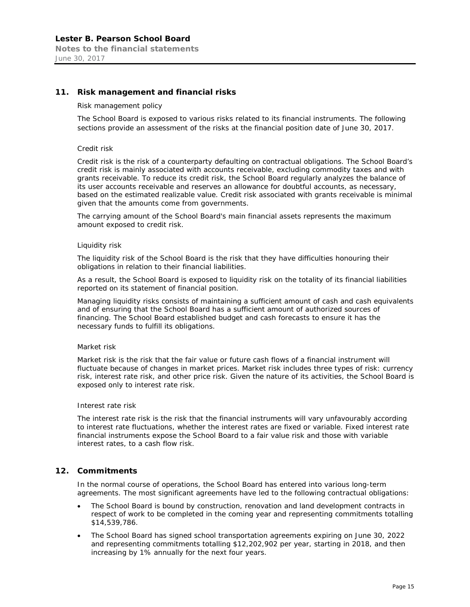#### **11. Risk management and financial risks**

#### *Risk management policy*

The School Board is exposed to various risks related to its financial instruments. The following sections provide an assessment of the risks at the financial position date of June 30, 2017.

#### *Credit risk*

Credit risk is the risk of a counterparty defaulting on contractual obligations. The School Board's credit risk is mainly associated with accounts receivable, excluding commodity taxes and with grants receivable. To reduce its credit risk, the School Board regularly analyzes the balance of its user accounts receivable and reserves an allowance for doubtful accounts, as necessary, based on the estimated realizable value. Credit risk associated with grants receivable is minimal given that the amounts come from governments.

The carrying amount of the School Board's main financial assets represents the maximum amount exposed to credit risk.

#### *Liquidity risk*

The liquidity risk of the School Board is the risk that they have difficulties honouring their obligations in relation to their financial liabilities.

As a result, the School Board is exposed to liquidity risk on the totality of its financial liabilities reported on its statement of financial position.

Managing liquidity risks consists of maintaining a sufficient amount of cash and cash equivalents and of ensuring that the School Board has a sufficient amount of authorized sources of financing. The School Board established budget and cash forecasts to ensure it has the necessary funds to fulfill its obligations.

#### *Market risk*

Market risk is the risk that the fair value or future cash flows of a financial instrument will fluctuate because of changes in market prices. Market risk includes three types of risk: currency risk, interest rate risk, and other price risk. Given the nature of its activities, the School Board is exposed only to interest rate risk.

#### *Interest rate risk*

The interest rate risk is the risk that the financial instruments will vary unfavourably according to interest rate fluctuations, whether the interest rates are fixed or variable. Fixed interest rate financial instruments expose the School Board to a fair value risk and those with variable interest rates, to a cash flow risk.

#### **12. Commitments**

In the normal course of operations, the School Board has entered into various long-term agreements. The most significant agreements have led to the following contractual obligations:

- The School Board is bound by construction, renovation and land development contracts in respect of work to be completed in the coming year and representing commitments totalling \$14,539,786.
- The School Board has signed school transportation agreements expiring on June 30, 2022 and representing commitments totalling \$12,202,902 per year, starting in 2018, and then increasing by 1% annually for the next four years.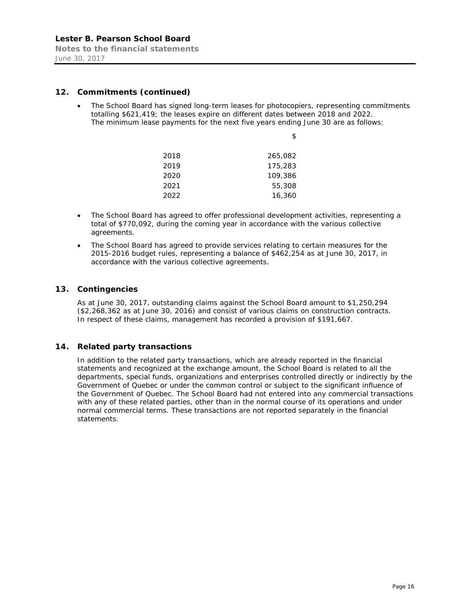#### **12. Commitments (continued)**

 The School Board has signed long-term leases for photocopiers, representing commitments totalling \$621,419; the leases expire on different dates between 2018 and 2022. The minimum lease payments for the next five years ending June 30 are as follows:

| 2018 | 265,082 |
|------|---------|
| 2019 | 175,283 |
| 2020 | 109,386 |
| 2021 | 55,308  |
| 2022 | 16,360  |

 $\mathfrak{p}$ 

- The School Board has agreed to offer professional development activities, representing a total of \$770,092, during the coming year in accordance with the various collective agreements.
- The School Board has agreed to provide services relating to certain measures for the 2015-2016 budget rules, representing a balance of \$462,254 as at June 30, 2017, in accordance with the various collective agreements.

#### **13. Contingencies**

As at June 30, 2017, outstanding claims against the School Board amount to \$1,250,294 (\$2,268,362 as at June 30, 2016) and consist of various claims on construction contracts. In respect of these claims, management has recorded a provision of \$191,667.

# **14. Related party transactions**

In addition to the related party transactions, which are already reported in the financial statements and recognized at the exchange amount, the School Board is related to all the departments, special funds, organizations and enterprises controlled directly or indirectly by the Government of Quebec or under the common control or subject to the significant influence of the Government of Quebec. The School Board had not entered into any commercial transactions with any of these related parties, other than in the normal course of its operations and under normal commercial terms. These transactions are not reported separately in the financial statements.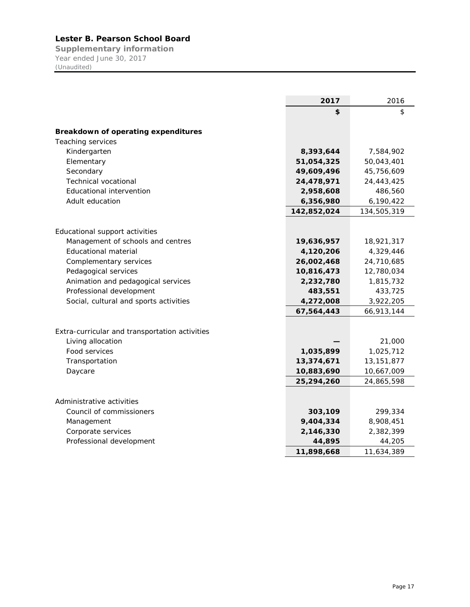**Supplementary information**  Year ended June 30, 2017 (Unaudited)

|                                                | 2017        | 2016         |
|------------------------------------------------|-------------|--------------|
|                                                | \$          | \$           |
| Breakdown of operating expenditures            |             |              |
| Teaching services                              |             |              |
| Kindergarten                                   | 8,393,644   | 7,584,902    |
| Elementary                                     | 51,054,325  | 50,043,401   |
| Secondary                                      | 49,609,496  | 45,756,609   |
| <b>Technical vocational</b>                    | 24,478,971  | 24,443,425   |
| <b>Educational intervention</b>                | 2,958,608   | 486,560      |
| Adult education                                | 6,356,980   | 6,190,422    |
|                                                | 142,852,024 | 134,505,319  |
|                                                |             |              |
| Educational support activities                 |             |              |
| Management of schools and centres              | 19,636,957  | 18,921,317   |
| <b>Educational material</b>                    | 4,120,206   | 4,329,446    |
| Complementary services                         | 26,002,468  | 24,710,685   |
| Pedagogical services                           | 10,816,473  | 12,780,034   |
| Animation and pedagogical services             | 2,232,780   | 1,815,732    |
| Professional development                       | 483,551     | 433,725      |
| Social, cultural and sports activities         | 4,272,008   | 3,922,205    |
|                                                | 67,564,443  | 66,913,144   |
|                                                |             |              |
| Extra-curricular and transportation activities |             |              |
| Living allocation                              |             | 21,000       |
| Food services                                  | 1,035,899   | 1,025,712    |
| Transportation                                 | 13,374,671  | 13, 151, 877 |
| Daycare                                        | 10,883,690  | 10,667,009   |
|                                                | 25,294,260  | 24,865,598   |
|                                                |             |              |
| Administrative activities                      |             |              |
| Council of commissioners                       | 303,109     | 299,334      |
| Management                                     | 9,404,334   | 8,908,451    |
| Corporate services                             | 2,146,330   | 2,382,399    |
| Professional development                       | 44,895      | 44,205       |
|                                                | 11,898,668  | 11,634,389   |